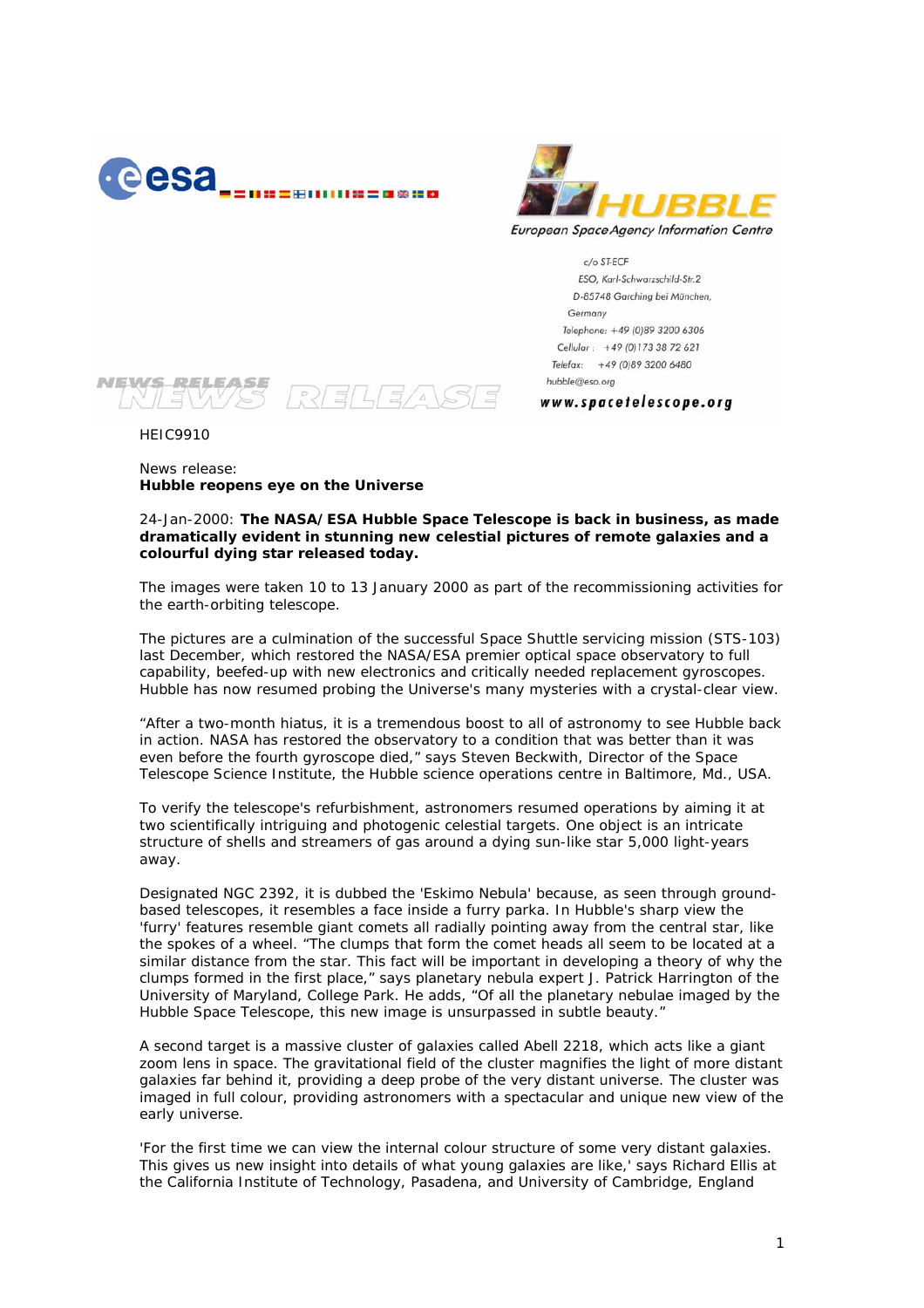



c/o ST-ECF ESO, Karl-Schwarzschild-Str.2 D-85748 Garching bei München, Germany Telephone: +49 (0)89 3200 6306 Cellular: +49 (0)173 38 72 621 Telefax: +49 (0)89 3200 6480 hubble@eso.org

www.spacetelescope.org

**NEWS RELEASE** RELEAS

HEIC9910

News release: **Hubble reopens eye on the Universe** 

24-Jan-2000: **The NASA/ESA Hubble Space Telescope is back in business, as made dramatically evident in stunning new celestial pictures of remote galaxies and a colourful dying star released today.** 

The images were taken 10 to 13 January 2000 as part of the recommissioning activities for the earth-orbiting telescope.

The pictures are a culmination of the successful Space Shuttle servicing mission (STS-103) last December, which restored the NASA/ESA premier optical space observatory to full capability, beefed-up with new electronics and critically needed replacement gyroscopes. Hubble has now resumed probing the Universe's many mysteries with a crystal-clear view.

*"After a two-month hiatus, it is a tremendous boost to all of astronomy to see Hubble back in action. NASA has restored the observatory to a condition that was better than it was even before the fourth gyroscope died,"* says Steven Beckwith, Director of the Space Telescope Science Institute, the Hubble science operations centre in Baltimore, Md., USA.

To verify the telescope's refurbishment, astronomers resumed operations by aiming it at two scientifically intriguing and photogenic celestial targets. One object is an intricate structure of shells and streamers of gas around a dying sun-like star 5,000 light-years away.

Designated NGC 2392, it is dubbed the 'Eskimo Nebula' because, as seen through groundbased telescopes, it resembles a face inside a furry parka. In Hubble's sharp view the 'furry' features resemble giant comets all radially pointing away from the central star, like the spokes of a wheel. *"The clumps that form the comet heads all seem to be located at a similar distance from the star. This fact will be important in developing a theory of why the clumps formed in the first place,"* says planetary nebula expert J. Patrick Harrington of the University of Maryland, College Park. He adds, *"Of all the planetary nebulae imaged by the Hubble Space Telescope, this new image is unsurpassed in subtle beauty."* 

A second target is a massive cluster of galaxies called Abell 2218, which acts like a giant zoom lens in space. The gravitational field of the cluster magnifies the light of more distant galaxies far behind it, providing a deep probe of the very distant universe. The cluster was imaged in full colour, providing astronomers with a spectacular and unique new view of the early universe.

'For the first time we can view the internal colour structure of some very distant galaxies. This gives us new insight into details of what young galaxies are like,' says Richard Ellis at the California Institute of Technology, Pasadena, and University of Cambridge, England